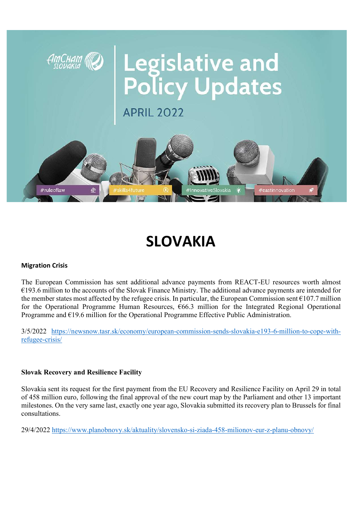

## SLOVAKIA

#### Migration Crisis

The European Commission has sent additional advance payments from REACT-EU resources worth almost €193.6 million to the accounts of the Slovak Finance Ministry. The additional advance payments are intended for the member states most affected by the refugee crisis. In particular, the European Commission sent  $\epsilon$ 107.7 million for the Operational Programme Human Resources,  $66.3$  million for the Integrated Regional Operational Programme and  $E$ 19.6 million for the Operational Programme Effective Public Administration.

3/5/2022 https://newsnow.tasr.sk/economy/european-commission-sends-slovakia-e193-6-million-to-cope-withrefugee-crisis/

## Slovak Recovery and Resilience Facility

Slovakia sent its request for the first payment from the EU Recovery and Resilience Facility on April 29 in total of 458 million euro, following the final approval of the new court map by the Parliament and other 13 important milestones. On the very same last, exactly one year ago, Slovakia submitted its recovery plan to Brussels for final consultations.

29/4/2022 https://www.planobnovy.sk/aktuality/slovensko-si-ziada-458-milionov-eur-z-planu-obnovy/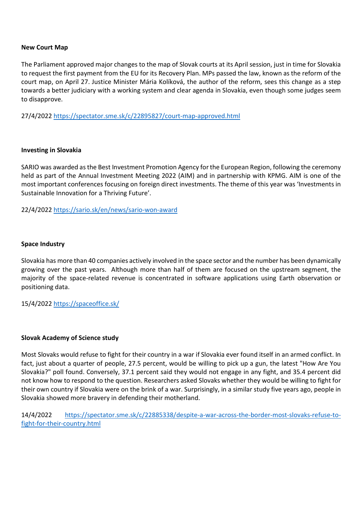#### New Court Map

The Parliament approved major changes to the map of Slovak courts at its April session, just in time for Slovakia to request the first payment from the EU for its Recovery Plan. MPs passed the law, known as the reform of the court map, on April 27. Justice Minister Mária Kolíková, the author of the reform, sees this change as a step towards a better judiciary with a working system and clear agenda in Slovakia, even though some judges seem to disapprove.

27/4/2022 https://spectator.sme.sk/c/22895827/court-map-approved.html

#### Investing in Slovakia

SARIO was awarded as the Best Investment Promotion Agency for the European Region, following the ceremony held as part of the Annual Investment Meeting 2022 (AIM) and in partnership with KPMG. AIM is one of the most important conferences focusing on foreign direct investments. The theme of this year was 'Investments in Sustainable Innovation for a Thriving Future'.

22/4/2022 https://sario.sk/en/news/sario-won-award

#### Space Industry

Slovakia has more than 40 companies actively involved in the space sector and the number has been dynamically growing over the past years. Although more than half of them are focused on the upstream segment, the majority of the space-related revenue is concentrated in software applications using Earth observation or positioning data.

15/4/2022 https://spaceoffice.sk/

#### Slovak Academy of Science study

Most Slovaks would refuse to fight for their country in a war if Slovakia ever found itself in an armed conflict. In fact, just about a quarter of people, 27.5 percent, would be willing to pick up a gun, the latest "How Are You Slovakia?" poll found. Conversely, 37.1 percent said they would not engage in any fight, and 35.4 percent did not know how to respond to the question. Researchers asked Slovaks whether they would be willing to fight for their own country if Slovakia were on the brink of a war. Surprisingly, in a similar study five years ago, people in Slovakia showed more bravery in defending their motherland.

14/4/2022 https://spectator.sme.sk/c/22885338/despite-a-war-across-the-border-most-slovaks-refuse-tofight-for-their-country.html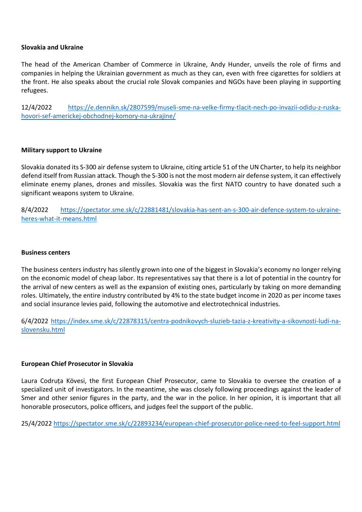#### Slovakia and Ukraine

The head of the American Chamber of Commerce in Ukraine, Andy Hunder, unveils the role of firms and companies in helping the Ukrainian government as much as they can, even with free cigarettes for soldiers at the front. He also speaks about the crucial role Slovak companies and NGOs have been playing in supporting refugees.

12/4/2022 https://e.dennikn.sk/2807599/museli-sme-na-velke-firmy-tlacit-nech-po-invazii-odidu-z-ruskahovori-sef-americkej-obchodnej-komory-na-ukrajine/

#### Military support to Ukraine

Slovakia donated its S-300 air defense system to Ukraine, citing article 51 of the UN Charter, to help its neighbor defend itself from Russian attack. Though the S-300 is not the most modern air defense system, it can effectively eliminate enemy planes, drones and missiles. Slovakia was the first NATO country to have donated such a significant weapons system to Ukraine.

8/4/2022 https://spectator.sme.sk/c/22881481/slovakia-has-sent-an-s-300-air-defence-system-to-ukraineheres-what-it-means.html

#### Business centers

The business centers industry has silently grown into one of the biggest in Slovakia's economy no longer relying on the economic model of cheap labor. Its representatives say that there is a lot of potential in the country for the arrival of new centers as well as the expansion of existing ones, particularly by taking on more demanding roles. Ultimately, the entire industry contributed by 4% to the state budget income in 2020 as per income taxes and social insurance levies paid, following the automotive and electrotechnical industries.

6/4/2022 https://index.sme.sk/c/22878315/centra-podnikovych-sluzieb-tazia-z-kreativity-a-sikovnosti-ludi-naslovensku.html

#### European Chief Prosecutor in Slovakia

Laura Codruța Kövesi, the first European Chief Prosecutor, came to Slovakia to oversee the creation of a specialized unit of investigators. In the meantime, she was closely following proceedings against the leader of Smer and other senior figures in the party, and the war in the police. In her opinion, it is important that all honorable prosecutors, police officers, and judges feel the support of the public.

25/4/2022 https://spectator.sme.sk/c/22893234/european-chief-prosecutor-police-need-to-feel-support.html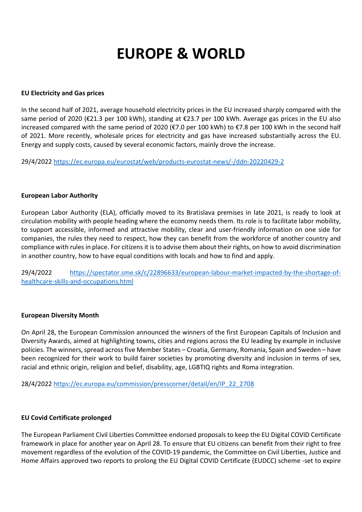# EUROPE & WORLD

#### EU Electricity and Gas prices

In the second half of 2021, average household electricity prices in the EU increased sharply compared with the same period of 2020 (€21.3 per 100 kWh), standing at €23.7 per 100 kWh. Average gas prices in the EU also increased compared with the same period of 2020 (€7.0 per 100 kWh) to €7.8 per 100 kWh in the second half of 2021. More recently, wholesale prices for electricity and gas have increased substantially across the EU. Energy and supply costs, caused by several economic factors, mainly drove the increase.

29/4/2022 https://ec.europa.eu/eurostat/web/products-eurostat-news/-/ddn-20220429-2

#### European Labor Authority

European Labor Authority (ELA), officially moved to its Bratislava premises in late 2021, is ready to look at circulation mobility with people heading where the economy needs them. Its role is to facilitate labor mobility, to support accessible, informed and attractive mobility, clear and user-friendly information on one side for companies, the rules they need to respect, how they can benefit from the workforce of another country and compliance with rules in place. For citizens it is to advise them about their rights, on how to avoid discrimination in another country, how to have equal conditions with locals and how to find and apply.

29/4/2022 https://spectator.sme.sk/c/22896633/european-labour-market-impacted-by-the-shortage-ofhealthcare-skills-and-occupations.html

#### European Diversity Month

On April 28, the European Commission announced the winners of the first European Capitals of Inclusion and Diversity Awards, aimed at highlighting towns, cities and regions across the EU leading by example in inclusive policies. The winners, spread across five Member States – Croatia, Germany, Romania, Spain and Sweden – have been recognized for their work to build fairer societies by promoting diversity and inclusion in terms of sex, racial and ethnic origin, religion and belief, disability, age, LGBTIQ rights and Roma integration.

28/4/2022 https://ec.europa.eu/commission/presscorner/detail/en/IP\_22\_2708

#### EU Covid Certificate prolonged

The European Parliament Civil Liberties Committee endorsed proposals to keep the EU Digital COVID Certificate framework in place for another year on April 28. To ensure that EU citizens can benefit from their right to free movement regardless of the evolution of the COVID-19 pandemic, the Committee on Civil Liberties, Justice and Home Affairs approved two reports to prolong the EU Digital COVID Certificate (EUDCC) scheme -set to expire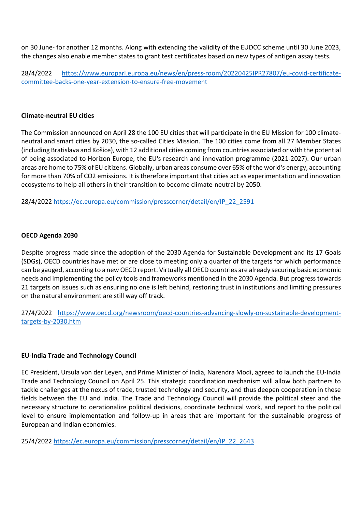on 30 June- for another 12 months. Along with extending the validity of the EUDCC scheme until 30 June 2023, the changes also enable member states to grant test certificates based on new types of antigen assay tests.

28/4/2022 https://www.europarl.europa.eu/news/en/press-room/20220425IPR27807/eu-covid-certificatecommittee-backs-one-year-extension-to-ensure-free-movement

#### Climate-neutral EU cities

The Commission announced on April 28 the 100 EU cities that will participate in the EU Mission for 100 climateneutral and smart cities by 2030, the so-called Cities Mission. The 100 cities come from all 27 Member States (including Bratislava and Košice), with 12 additional cities coming from countries associated or with the potential of being associated to Horizon Europe, the EU's research and innovation programme (2021-2027). Our urban areas are home to 75% of EU citizens. Globally, urban areas consume over 65% of the world's energy, accounting for more than 70% of CO2 emissions. It is therefore important that cities act as experimentation and innovation ecosystems to help all others in their transition to become climate-neutral by 2050.

28/4/2022 https://ec.europa.eu/commission/presscorner/detail/en/IP\_22\_2591

## OECD Agenda 2030

Despite progress made since the adoption of the 2030 Agenda for Sustainable Development and its 17 Goals (SDGs), OECD countries have met or are close to meeting only a quarter of the targets for which performance can be gauged, according to a new OECD report. Virtually all OECD countries are already securing basic economic needs and implementing the policy tools and frameworks mentioned in the 2030 Agenda. But progress towards 21 targets on issues such as ensuring no one is left behind, restoring trust in institutions and limiting pressures on the natural environment are still way off track.

27/4/2022 https://www.oecd.org/newsroom/oecd-countries-advancing-slowly-on-sustainable-developmenttargets-by-2030.htm

## EU-India Trade and Technology Council

EC President, Ursula von der Leyen, and Prime Minister of India, Narendra Modi, agreed to launch the EU-India Trade and Technology Council on April 25. This strategic coordination mechanism will allow both partners to tackle challenges at the nexus of trade, trusted technology and security, and thus deepen cooperation in these fields between the EU and India. The Trade and Technology Council will provide the political steer and the necessary structure to oerationalize political decisions, coordinate technical work, and report to the political level to ensure implementation and follow-up in areas that are important for the sustainable progress of European and Indian economies.

25/4/2022 https://ec.europa.eu/commission/presscorner/detail/en/IP\_22\_2643